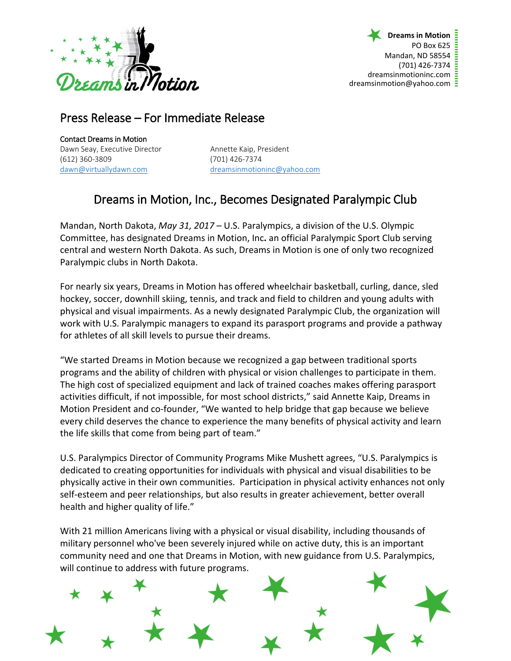

## Press Release – For Immediate Release

Contact Dreams in Motion Dawn Seay, Executive Director **Annette Kaip, President** (612) 360-3809 (701) 426-7374

[dawn@virtuallydawn.com](mailto:dawn@virtuallydawn.com) [dreamsinmotioninc@yahoo.com](mailto:dreamsinmotioninc@yahoo.com)

## Dreams in Motion, Inc., Becomes Designated Paralympic Club

Mandan, North Dakota, *May 31, 2017* – U.S. Paralympics, a division of the U.S. Olympic Committee, has designated Dreams in Motion, Inc**.** an official Paralympic Sport Club serving central and western North Dakota. As such, Dreams in Motion is one of only two recognized Paralympic clubs in North Dakota.

For nearly six years, Dreams in Motion has offered wheelchair basketball, curling, dance, sled hockey, soccer, downhill skiing, tennis, and track and field to children and young adults with physical and visual impairments. As a newly designated Paralympic Club, the organization will work with U.S. Paralympic managers to expand its parasport programs and provide a pathway for athletes of all skill levels to pursue their dreams.

"We started Dreams in Motion because we recognized a gap between traditional sports programs and the ability of children with physical or vision challenges to participate in them. The high cost of specialized equipment and lack of trained coaches makes offering parasport activities difficult, if not impossible, for most school districts," said Annette Kaip, Dreams in Motion President and co-founder, "We wanted to help bridge that gap because we believe every child deserves the chance to experience the many benefits of physical activity and learn the life skills that come from being part of team."

U.S. Paralympics Director of Community Programs Mike Mushett agrees, "U.S. Paralympics is dedicated to creating opportunities for individuals with physical and visual disabilities to be physically active in their own communities. Participation in physical activity enhances not only self-esteem and peer relationships, but also results in greater achievement, better overall health and higher quality of life."

With 21 million Americans living with a physical or visual disability, including thousands of military personnel who've been severely injured while on active duty, this is an important community need and one that Dreams in Motion, with new guidance from U.S. Paralympics, will continue to address with future programs.